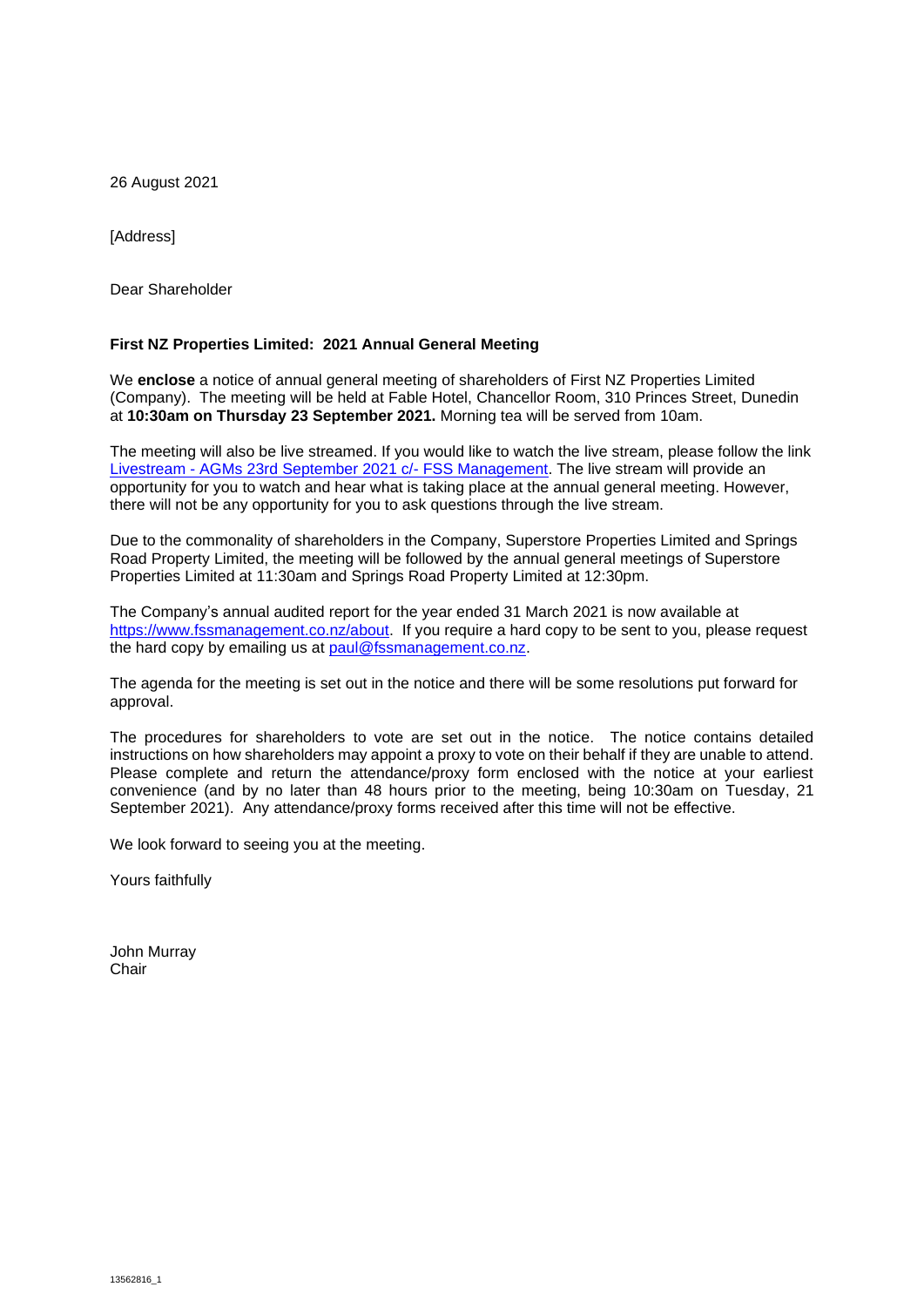26 August 2021

[Address]

Dear Shareholder

## **First NZ Properties Limited: 2021 Annual General Meeting**

We **enclose** a notice of annual general meeting of shareholders of First NZ Properties Limited (Company). The meeting will be held at Fable Hotel, Chancellor Room, 310 Princes Street, Dunedin at **10:30am on Thursday 23 September 2021.** Morning tea will be served from 10am.

The meeting will also be live streamed. If you would like to watch the live stream, please follow the link Livestream - [AGMs 23rd September 2021 c/-](https://youtu.be/FaZxUT3HjLA) FSS Management. The live stream will provide an opportunity for you to watch and hear what is taking place at the annual general meeting. However, there will not be any opportunity for you to ask questions through the live stream.

Due to the commonality of shareholders in the Company, Superstore Properties Limited and Springs Road Property Limited, the meeting will be followed by the annual general meetings of Superstore Properties Limited at 11:30am and Springs Road Property Limited at 12:30pm.

The Company's annual audited report for the year ended 31 March 2021 is now available at https://www.fssmanagement.co.nz/about. If you require a hard copy to be sent to you, please request the hard copy by emailing us at [paul@fssmanagement.co.nz.](mailto:paul@fssmanagement.co.nz)

The agenda for the meeting is set out in the notice and there will be some resolutions put forward for approval.

The procedures for shareholders to vote are set out in the notice. The notice contains detailed instructions on how shareholders may appoint a proxy to vote on their behalf if they are unable to attend. Please complete and return the attendance/proxy form enclosed with the notice at your earliest convenience (and by no later than 48 hours prior to the meeting, being 10:30am on Tuesday, 21 September 2021). Any attendance/proxy forms received after this time will not be effective.

We look forward to seeing you at the meeting.

Yours faithfully

John Murray Chair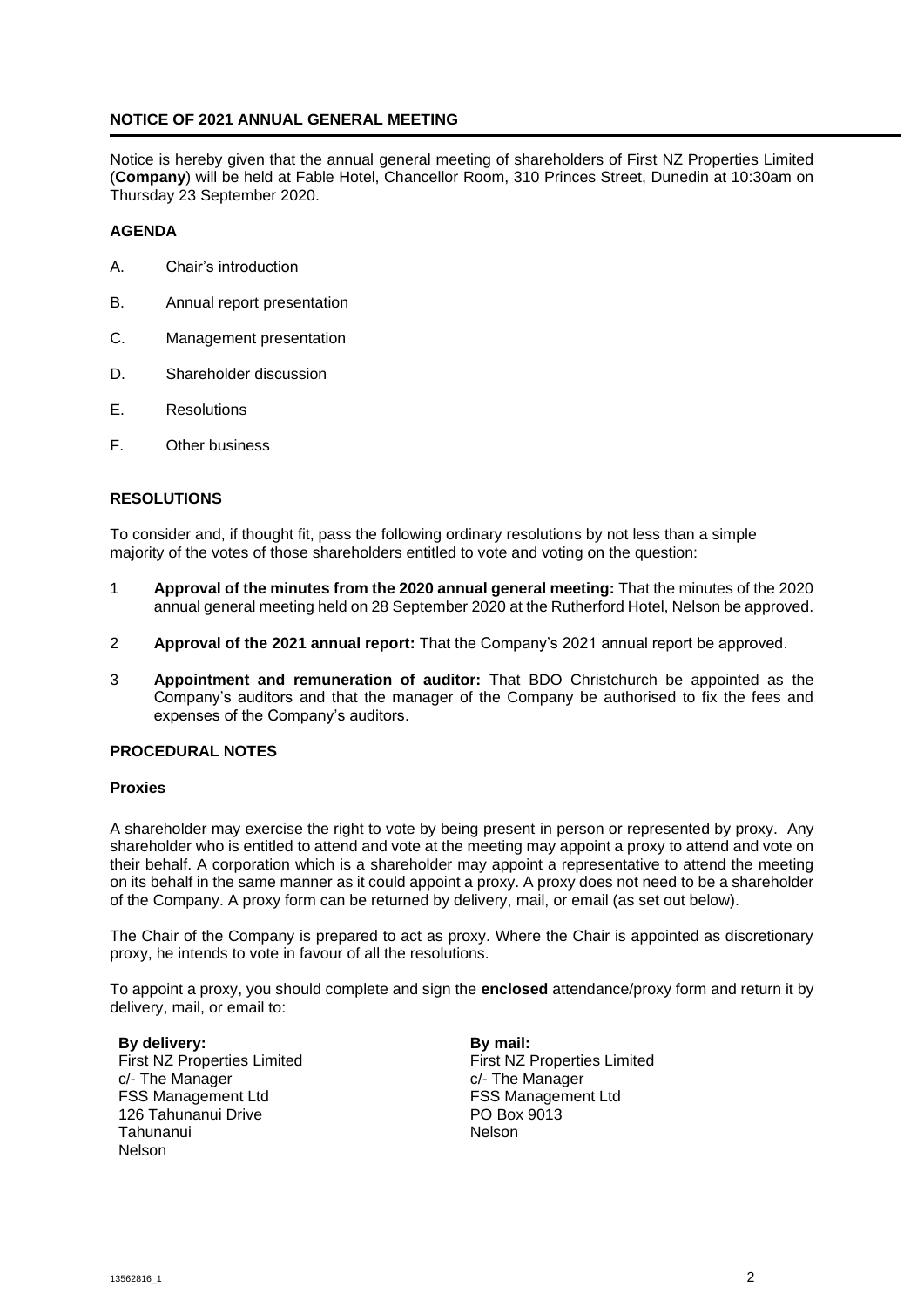#### **NOTICE OF 2021 ANNUAL GENERAL MEETING**

Notice is hereby given that the annual general meeting of shareholders of First NZ Properties Limited (**Company**) will be held at Fable Hotel, Chancellor Room, 310 Princes Street, Dunedin at 10:30am on Thursday 23 September 2020.

#### **AGENDA**

- A. Chair's introduction
- B. Annual report presentation
- C. Management presentation
- D. Shareholder discussion
- E. Resolutions
- F. Other business

## **RESOLUTIONS**

To consider and, if thought fit, pass the following ordinary resolutions by not less than a simple majority of the votes of those shareholders entitled to vote and voting on the question:

- 1 **Approval of the minutes from the 2020 annual general meeting:** That the minutes of the 2020 annual general meeting held on 28 September 2020 at the Rutherford Hotel, Nelson be approved.
- 2 **Approval of the 2021 annual report:** That the Company's 2021 annual report be approved.
- 3 **Appointment and remuneration of auditor:** That BDO Christchurch be appointed as the Company's auditors and that the manager of the Company be authorised to fix the fees and expenses of the Company's auditors.

#### **PROCEDURAL NOTES**

#### **Proxies**

A shareholder may exercise the right to vote by being present in person or represented by proxy. Any shareholder who is entitled to attend and vote at the meeting may appoint a proxy to attend and vote on their behalf. A corporation which is a shareholder may appoint a representative to attend the meeting on its behalf in the same manner as it could appoint a proxy. A proxy does not need to be a shareholder of the Company. A proxy form can be returned by delivery, mail, or email (as set out below).

The Chair of the Company is prepared to act as proxy. Where the Chair is appointed as discretionary proxy, he intends to vote in favour of all the resolutions.

To appoint a proxy, you should complete and sign the **enclosed** attendance/proxy form and return it by delivery, mail, or email to:

**By delivery:** First NZ Properties Limited c/- The Manager FSS Management Ltd 126 Tahunanui Drive Tahunanui Nelson

**By mail:** First NZ Properties Limited c/- The Manager FSS Management Ltd PO Box 9013 Nelson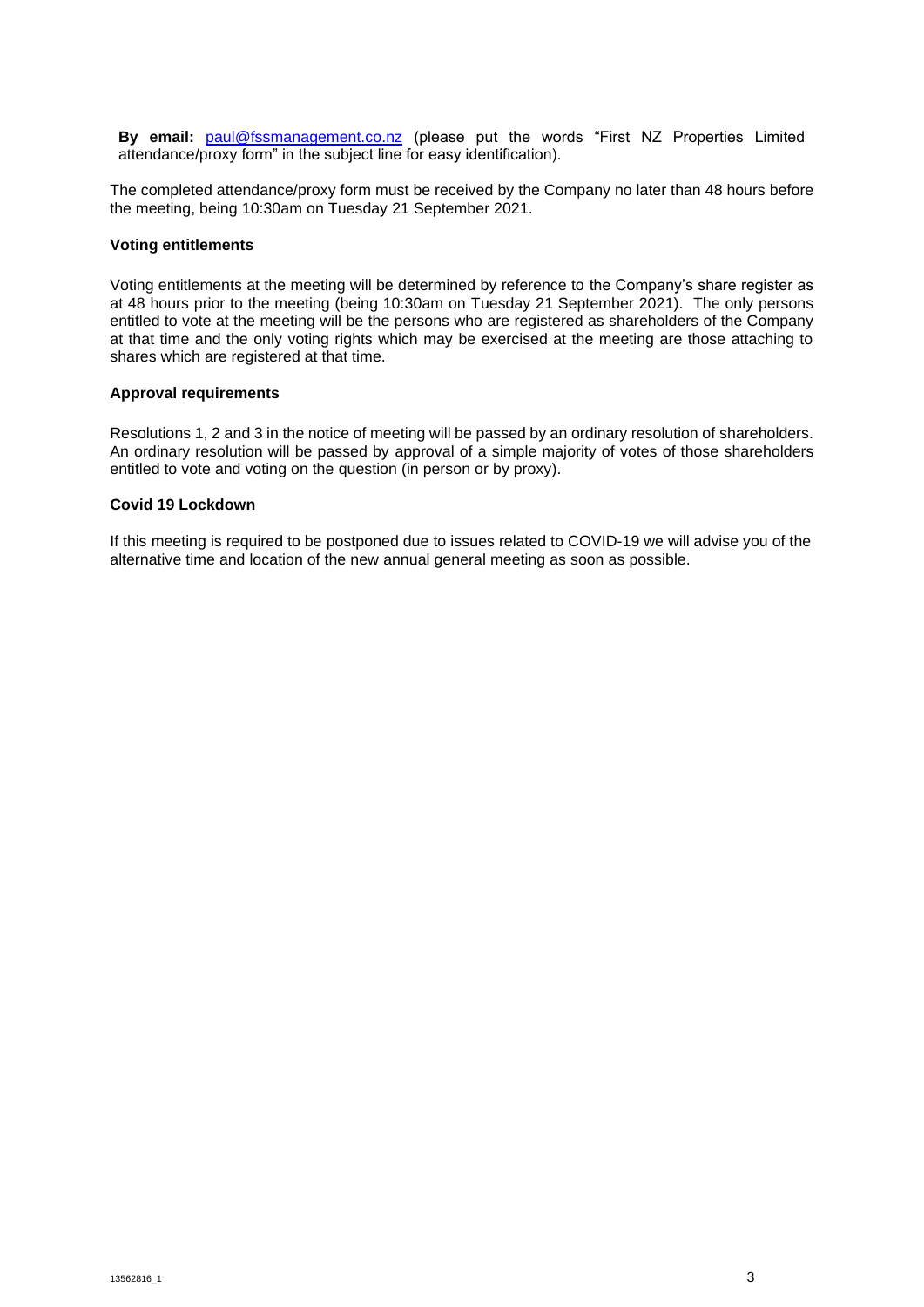**By email:** [paul@fssmanagement.co.nz](mailto:paul@fssmanagement.co.nz) (please put the words "First NZ Properties Limited attendance/proxy form" in the subject line for easy identification).

The completed attendance/proxy form must be received by the Company no later than 48 hours before the meeting, being 10:30am on Tuesday 21 September 2021.

#### **Voting entitlements**

Voting entitlements at the meeting will be determined by reference to the Company's share register as at 48 hours prior to the meeting (being 10:30am on Tuesday 21 September 2021). The only persons entitled to vote at the meeting will be the persons who are registered as shareholders of the Company at that time and the only voting rights which may be exercised at the meeting are those attaching to shares which are registered at that time.

#### **Approval requirements**

Resolutions 1, 2 and 3 in the notice of meeting will be passed by an ordinary resolution of shareholders. An ordinary resolution will be passed by approval of a simple majority of votes of those shareholders entitled to vote and voting on the question (in person or by proxy).

#### **Covid 19 Lockdown**

If this meeting is required to be postponed due to issues related to COVID-19 we will advise you of the alternative time and location of the new annual general meeting as soon as possible.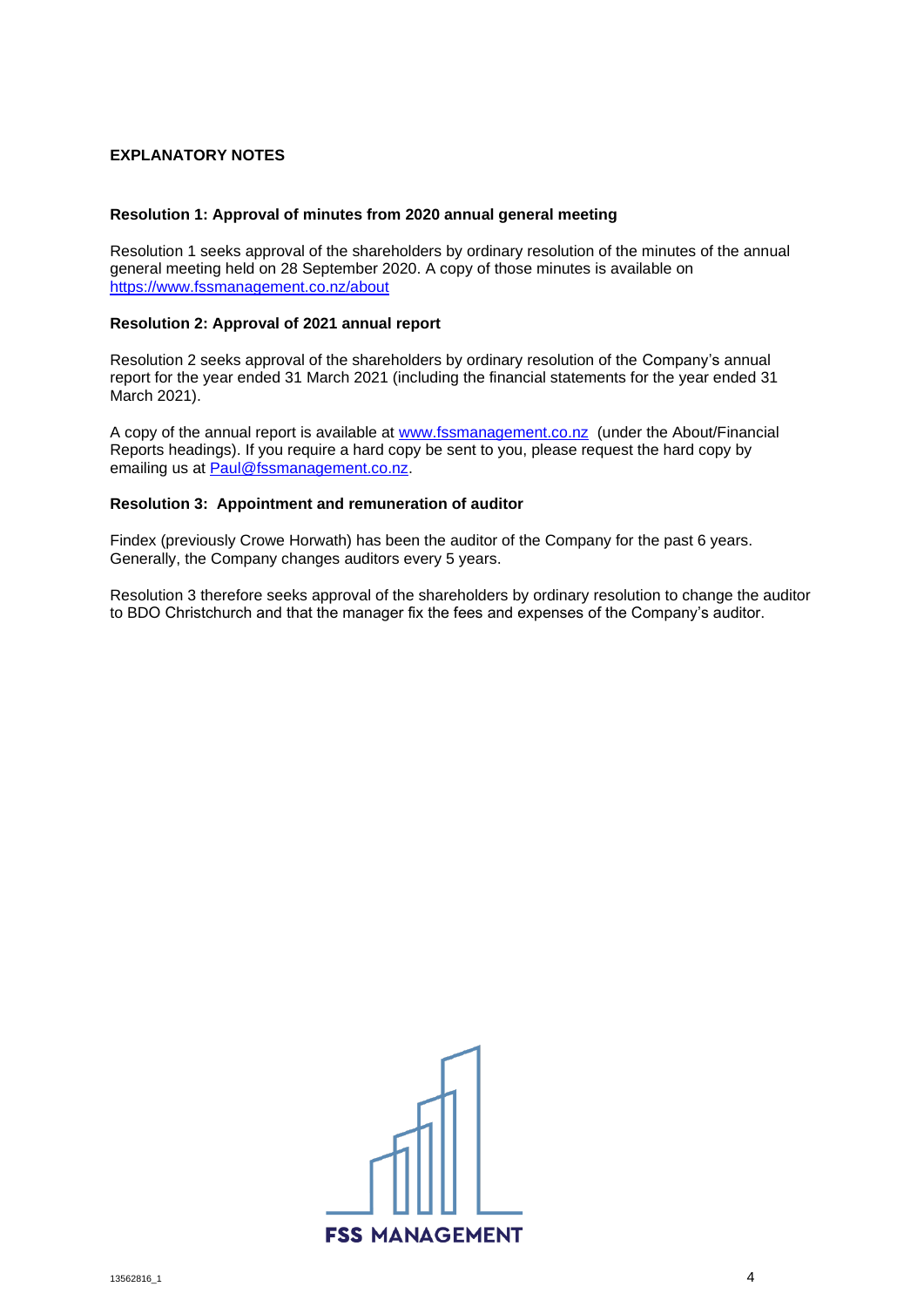# **EXPLANATORY NOTES**

#### **Resolution 1: Approval of minutes from 2020 annual general meeting**

Resolution 1 seeks approval of the shareholders by ordinary resolution of the minutes of the annual general meeting held on 28 September 2020. A copy of those minutes is available on <https://www.fssmanagement.co.nz/about>

#### **Resolution 2: Approval of 2021 annual report**

Resolution 2 seeks approval of the shareholders by ordinary resolution of the Company's annual report for the year ended 31 March 2021 (including the financial statements for the year ended 31 March 2021).

A copy of the annual report is available at [www.fssmanagement.co.nz](http://www.fssmanagement.co.nz/) (under the About/Financial Reports headings). If you require a hard copy be sent to you, please request the hard copy by emailing us at [Paul@fssmanagement.co.nz.](mailto:Paul@fssmanagement.co.nz)

## **Resolution 3: Appointment and remuneration of auditor**

Findex (previously Crowe Horwath) has been the auditor of the Company for the past 6 years. Generally, the Company changes auditors every 5 years.

Resolution 3 therefore seeks approval of the shareholders by ordinary resolution to change the auditor to BDO Christchurch and that the manager fix the fees and expenses of the Company's auditor.

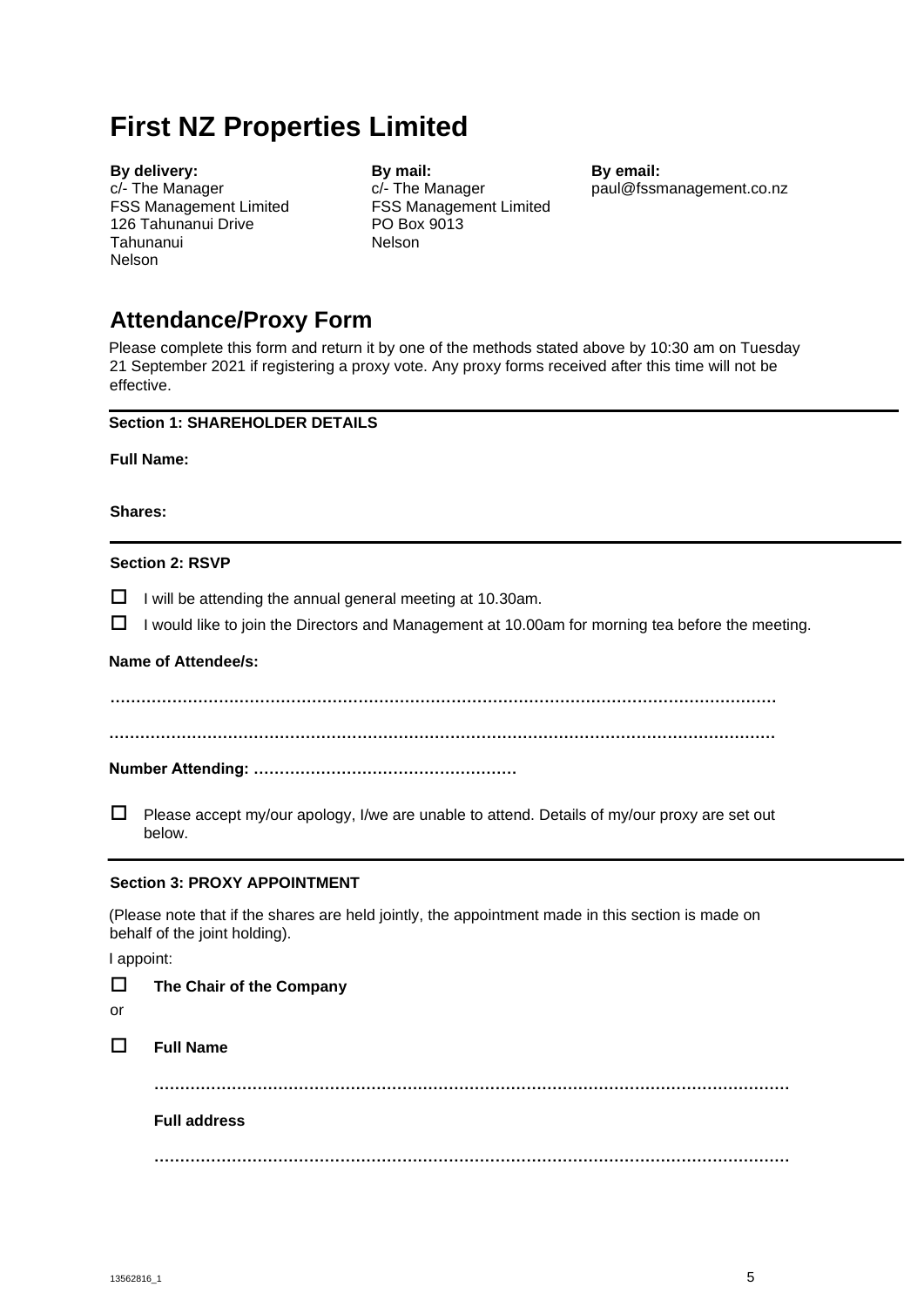# **First NZ Properties Limited**

**By delivery:** c/- The Manager FSS Management Limited 126 Tahunanui Drive Tahunanui Nelson

**By mail:**  c/- The Manager FSS Management Limited PO Box 9013 Nelson

**By email:** [paul@fssmanagement.co.nz](mailto:paul@fssmanagement.co.nz)

# **Attendance/Proxy Form**

Please complete this form and return it by one of the methods stated above by 10:30 am on Tuesday 21 September 2021 if registering a proxy vote. Any proxy forms received after this time will not be effective.

## **Section 1: SHAREHOLDER DETAILS**

**Full Name:** 

**Shares:** 

## **Section 2: RSVP**

 $\Box$  I will be attending the annual general meeting at 10.30am.

 $\Box$  I would like to join the Directors and Management at 10.00am for morning tea before the meeting.

# **Name of Attendee/s:**

**…………………………………………………………………………………………………………………**

**…………………………………………………………………………………………………………………** 

**Number Attending: ……………………………………………** 

 $\Box$  Please accept my/our apology, I/we are unable to attend. Details of my/our proxy are set out below.

# **Section 3: PROXY APPOINTMENT**

(Please note that if the shares are held jointly, the appointment made in this section is made on behalf of the joint holding).

I appoint:

| $\Box$<br>or | The Chair of the Company |
|--------------|--------------------------|
| $\Box$       | <b>Full Name</b>         |
|              | <b>Full address</b>      |
|              | <br>.                    |